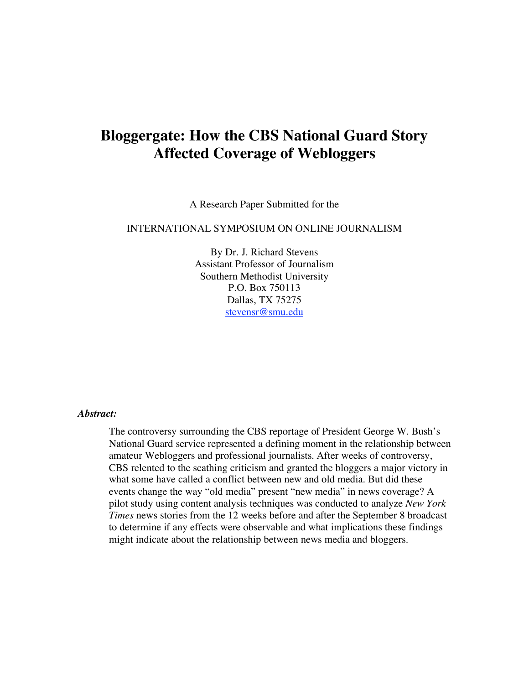# **Bloggergate: How the CBS National Guard Story Affected Coverage of Webloggers**

A Research Paper Submitted for the

#### INTERNATIONAL SYMPOSIUM ON ONLINE JOURNALISM

By Dr. J. Richard Stevens Assistant Professor of Journalism Southern Methodist University P.O. Box 750113 Dallas, TX 75275 stevensr@smu.edu

#### *Abstract:*

The controversy surrounding the CBS reportage of President George W. Bush's National Guard service represented a defining moment in the relationship between amateur Webloggers and professional journalists. After weeks of controversy, CBS relented to the scathing criticism and granted the bloggers a major victory in what some have called a conflict between new and old media. But did these events change the way "old media" present "new media" in news coverage? A pilot study using content analysis techniques was conducted to analyze *New York Times* news stories from the 12 weeks before and after the September 8 broadcast to determine if any effects were observable and what implications these findings might indicate about the relationship between news media and bloggers.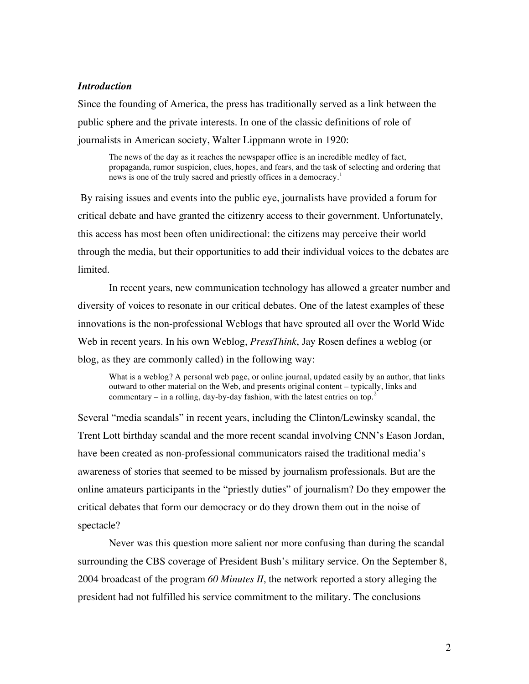## *Introduction*

Since the founding of America, the press has traditionally served as a link between the public sphere and the private interests. In one of the classic definitions of role of journalists in American society, Walter Lippmann wrote in 1920:

The news of the day as it reaches the newspaper office is an incredible medley of fact, propaganda, rumor suspicion, clues, hopes, and fears, and the task of selecting and ordering that news is one of the truly sacred and priestly offices in a democracy.<sup>1</sup>

By raising issues and events into the public eye, journalists have provided a forum for critical debate and have granted the citizenry access to their government. Unfortunately, this access has most been often unidirectional: the citizens may perceive their world through the media, but their opportunities to add their individual voices to the debates are limited.

In recent years, new communication technology has allowed a greater number and diversity of voices to resonate in our critical debates. One of the latest examples of these innovations is the non-professional Weblogs that have sprouted all over the World Wide Web in recent years. In his own Weblog, *PressThink*, Jay Rosen defines a weblog (or blog, as they are commonly called) in the following way:

What is a weblog? A personal web page, or online journal, updated easily by an author, that links outward to other material on the Web, and presents original content – typically, links and commentary  $-$  in a rolling, day-by-day fashion, with the latest entries on top.<sup>2</sup>

Several "media scandals" in recent years, including the Clinton/Lewinsky scandal, the Trent Lott birthday scandal and the more recent scandal involving CNN's Eason Jordan, have been created as non-professional communicators raised the traditional media's awareness of stories that seemed to be missed by journalism professionals. But are the online amateurs participants in the "priestly duties" of journalism? Do they empower the critical debates that form our democracy or do they drown them out in the noise of spectacle?

Never was this question more salient nor more confusing than during the scandal surrounding the CBS coverage of President Bush's military service. On the September 8, 2004 broadcast of the program *60 Minutes II*, the network reported a story alleging the president had not fulfilled his service commitment to the military. The conclusions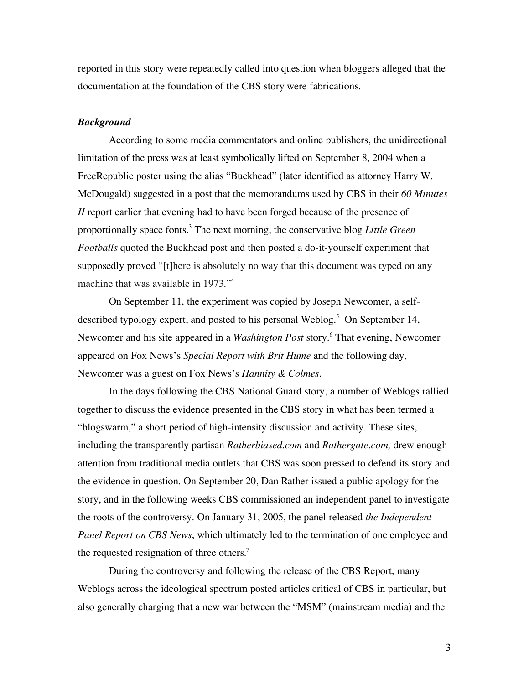reported in this story were repeatedly called into question when bloggers alleged that the documentation at the foundation of the CBS story were fabrications.

## *Background*

According to some media commentators and online publishers, the unidirectional limitation of the press was at least symbolically lifted on September 8, 2004 when a FreeRepublic poster using the alias "Buckhead" (later identified as attorney Harry W. McDougald) suggested in a post that the memorandums used by CBS in their *60 Minutes II* report earlier that evening had to have been forged because of the presence of proportionally space fonts. <sup>3</sup> The next morning, the conservative blog *Little Green Footballs* quoted the Buckhead post and then posted a do-it-yourself experiment that supposedly proved "[t]here is absolutely no way that this document was typed on any machine that was available in 1973."4

On September 11, the experiment was copied by Joseph Newcomer, a selfdescribed typology expert, and posted to his personal Weblog.<sup>5</sup> On September 14, Newcomer and his site appeared in a *Washington Post* story.<sup>6</sup> That evening, Newcomer appeared on Fox News's *Special Report with Brit Hume* and the following day, Newcomer was a guest on Fox News's *Hannity & Colmes.*

In the days following the CBS National Guard story, a number of Weblogs rallied together to discuss the evidence presented in the CBS story in what has been termed a "blogswarm," a short period of high-intensity discussion and activity. These sites, including the transparently partisan *Ratherbiased.com* and *Rathergate.com,* drew enough attention from traditional media outlets that CBS was soon pressed to defend its story and the evidence in question. On September 20, Dan Rather issued a public apology for the story, and in the following weeks CBS commissioned an independent panel to investigate the roots of the controversy. On January 31, 2005, the panel released *the Independent Panel Report on CBS News*, which ultimately led to the termination of one employee and the requested resignation of three others.<sup>7</sup>

During the controversy and following the release of the CBS Report, many Weblogs across the ideological spectrum posted articles critical of CBS in particular, but also generally charging that a new war between the "MSM" (mainstream media) and the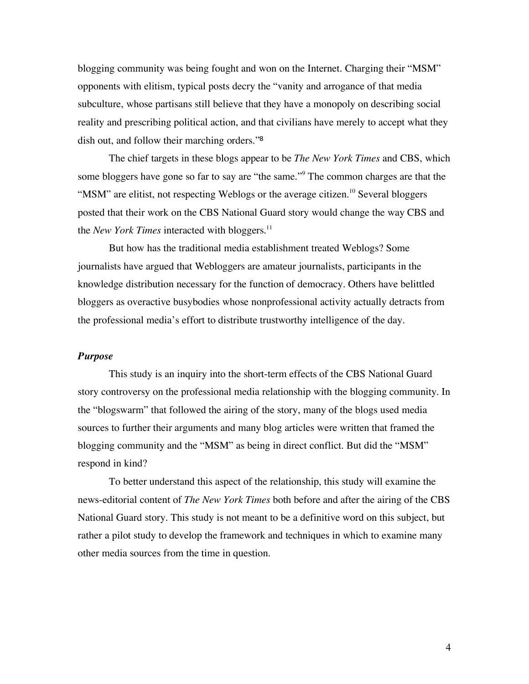blogging community was being fought and won on the Internet. Charging their "MSM" opponents with elitism, typical posts decry the "vanity and arrogance of that media subculture, whose partisans still believe that they have a monopoly on describing social reality and prescribing political action, and that civilians have merely to accept what they dish out, and follow their marching orders."<sup>8</sup>

The chief targets in these blogs appear to be *The New York Times* and CBS, which some bloggers have gone so far to say are "the same."<sup>9</sup> The common charges are that the "MSM" are elitist, not respecting Weblogs or the average citizen.<sup>10</sup> Several bloggers posted that their work on the CBS National Guard story would change the way CBS and the *New York Times* interacted with bloggers. 11

But how has the traditional media establishment treated Weblogs? Some journalists have argued that Webloggers are amateur journalists, participants in the knowledge distribution necessary for the function of democracy. Others have belittled bloggers as overactive busybodies whose nonprofessional activity actually detracts from the professional media's effort to distribute trustworthy intelligence of the day.

#### *Purpose*

This study is an inquiry into the short-term effects of the CBS National Guard story controversy on the professional media relationship with the blogging community. In the "blogswarm" that followed the airing of the story, many of the blogs used media sources to further their arguments and many blog articles were written that framed the blogging community and the "MSM" as being in direct conflict. But did the "MSM" respond in kind?

To better understand this aspect of the relationship, this study will examine the news-editorial content of *The New York Times* both before and after the airing of the CBS National Guard story. This study is not meant to be a definitive word on this subject, but rather a pilot study to develop the framework and techniques in which to examine many other media sources from the time in question.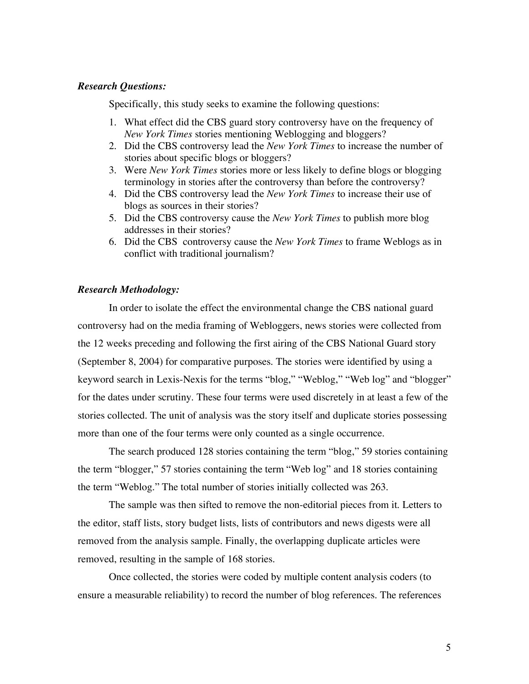#### *Research Questions:*

Specifically, this study seeks to examine the following questions:

- 1. What effect did the CBS guard story controversy have on the frequency of *New York Times* stories mentioning Weblogging and bloggers?
- 2. Did the CBS controversy lead the *New York Times* to increase the number of stories about specific blogs or bloggers?
- 3. Were *New York Times* stories more or less likely to define blogs or blogging terminology in stories after the controversy than before the controversy?
- 4. Did the CBS controversy lead the *New York Times* to increase their use of blogs as sources in their stories?
- 5. Did the CBS controversy cause the *New York Times* to publish more blog addresses in their stories?
- 6. Did the CBS controversy cause the *New York Times* to frame Weblogs as in conflict with traditional journalism?

## *Research Methodology:*

In order to isolate the effect the environmental change the CBS national guard controversy had on the media framing of Webloggers, news stories were collected from the 12 weeks preceding and following the first airing of the CBS National Guard story (September 8, 2004) for comparative purposes. The stories were identified by using a keyword search in Lexis-Nexis for the terms "blog," "Weblog," "Web log" and "blogger" for the dates under scrutiny. These four terms were used discretely in at least a few of the stories collected. The unit of analysis was the story itself and duplicate stories possessing more than one of the four terms were only counted as a single occurrence.

The search produced 128 stories containing the term "blog," 59 stories containing the term "blogger," 57 stories containing the term "Web log" and 18 stories containing the term "Weblog." The total number of stories initially collected was 263.

The sample was then sifted to remove the non-editorial pieces from it. Letters to the editor, staff lists, story budget lists, lists of contributors and news digests were all removed from the analysis sample. Finally, the overlapping duplicate articles were removed, resulting in the sample of 168 stories.

Once collected, the stories were coded by multiple content analysis coders (to ensure a measurable reliability) to record the number of blog references. The references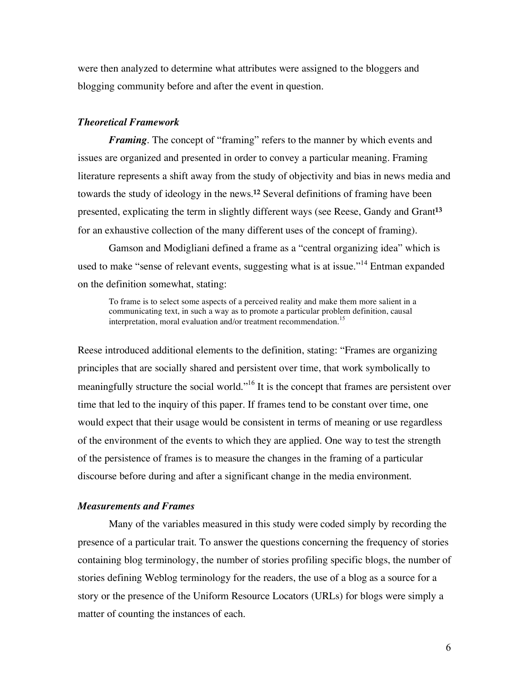were then analyzed to determine what attributes were assigned to the bloggers and blogging community before and after the event in question.

#### *Theoretical Framework*

*Framing.* The concept of "framing" refers to the manner by which events and issues are organized and presented in order to convey a particular meaning. Framing literature represents a shift away from the study of objectivity and bias in news media and towards the study of ideology in the news. **<sup>12</sup>** Several definitions of framing have been presented, explicating the term in slightly different ways (see Reese, Gandy and Grant**<sup>13</sup>** for an exhaustive collection of the many different uses of the concept of framing).

Gamson and Modigliani defined a frame as a "central organizing idea" which is used to make "sense of relevant events, suggesting what is at issue."<sup>14</sup> Entman expanded on the definition somewhat, stating:

To frame is to select some aspects of a perceived reality and make them more salient in a communicating text, in such a way as to promote a particular problem definition, causal interpretation, moral evaluation and/or treatment recommendation. 15

Reese introduced additional elements to the definition, stating: "Frames are organizing principles that are socially shared and persistent over time, that work symbolically to meaningfully structure the social world."<sup>16</sup> It is the concept that frames are persistent over time that led to the inquiry of this paper. If frames tend to be constant over time, one would expect that their usage would be consistent in terms of meaning or use regardless of the environment of the events to which they are applied. One way to test the strength of the persistence of frames is to measure the changes in the framing of a particular discourse before during and after a significant change in the media environment.

#### *Measurements and Frames*

Many of the variables measured in this study were coded simply by recording the presence of a particular trait. To answer the questions concerning the frequency of stories containing blog terminology, the number of stories profiling specific blogs, the number of stories defining Weblog terminology for the readers, the use of a blog as a source for a story or the presence of the Uniform Resource Locators (URLs) for blogs were simply a matter of counting the instances of each.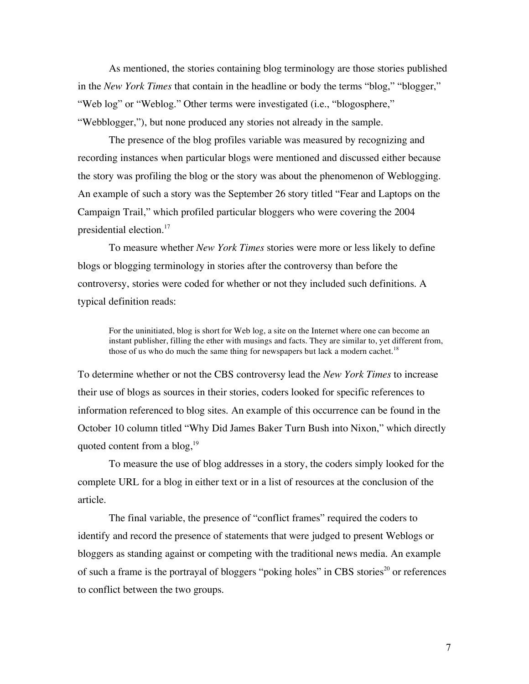As mentioned, the stories containing blog terminology are those stories published in the *New York Times* that contain in the headline or body the terms "blog," "blogger," "Web log" or "Weblog." Other terms were investigated (i.e., "blogosphere," "Webblogger,"), but none produced any stories not already in the sample.

The presence of the blog profiles variable was measured by recognizing and recording instances when particular blogs were mentioned and discussed either because the story was profiling the blog or the story was about the phenomenon of Weblogging. An example of such a story was the September 26 story titled "Fear and Laptops on the Campaign Trail," which profiled particular bloggers who were covering the 2004 presidential election.<sup>17</sup>

To measure whether *New York Times* stories were more or less likely to define blogs or blogging terminology in stories after the controversy than before the controversy, stories were coded for whether or not they included such definitions. A typical definition reads:

For the uninitiated, blog is short for Web log, a site on the Internet where one can become an instant publisher, filling the ether with musings and facts. They are similar to, yet different from, those of us who do much the same thing for newspapers but lack a modern cachet.<sup>18</sup>

To determine whether or not the CBS controversy lead the *New York Times* to increase their use of blogs as sources in their stories, coders looked for specific references to information referenced to blog sites. An example of this occurrence can be found in the October 10 column titled "Why Did James Baker Turn Bush into Nixon," which directly quoted content from a  $blog<sub>19</sub>$ <sup>19</sup>

To measure the use of blog addresses in a story, the coders simply looked for the complete URL for a blog in either text or in a list of resources at the conclusion of the article.

The final variable, the presence of "conflict frames" required the coders to identify and record the presence of statements that were judged to present Weblogs or bloggers as standing against or competing with the traditional news media. An example of such a frame is the portrayal of bloggers "poking holes" in CBS stories<sup>20</sup> or references to conflict between the two groups.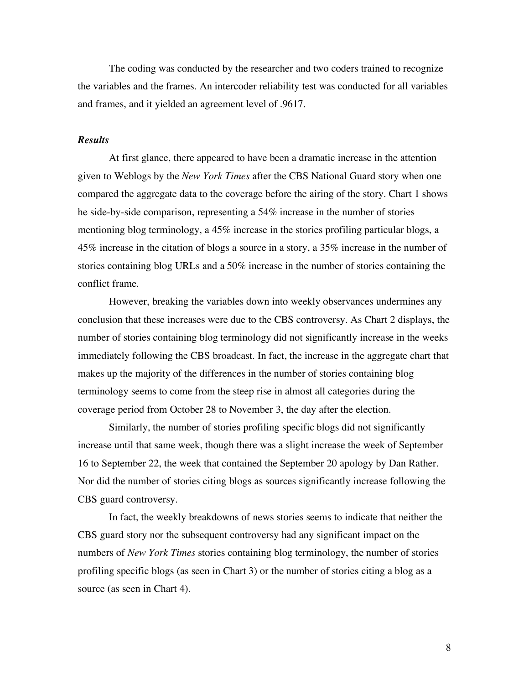The coding was conducted by the researcher and two coders trained to recognize the variables and the frames. An intercoder reliability test was conducted for all variables and frames, and it yielded an agreement level of .9617.

#### *Results*

At first glance, there appeared to have been a dramatic increase in the attention given to Weblogs by the *New York Times* after the CBS National Guard story when one compared the aggregate data to the coverage before the airing of the story. Chart 1 shows he side-by-side comparison, representing a 54% increase in the number of stories mentioning blog terminology, a 45% increase in the stories profiling particular blogs, a 45% increase in the citation of blogs a source in a story, a 35% increase in the number of stories containing blog URLs and a 50% increase in the number of stories containing the conflict frame.

However, breaking the variables down into weekly observances undermines any conclusion that these increases were due to the CBS controversy. As Chart 2 displays, the number of stories containing blog terminology did not significantly increase in the weeks immediately following the CBS broadcast. In fact, the increase in the aggregate chart that makes up the majority of the differences in the number of stories containing blog terminology seems to come from the steep rise in almost all categories during the coverage period from October 28 to November 3, the day after the election.

Similarly, the number of stories profiling specific blogs did not significantly increase until that same week, though there was a slight increase the week of September 16 to September 22, the week that contained the September 20 apology by Dan Rather. Nor did the number of stories citing blogs as sources significantly increase following the CBS guard controversy.

In fact, the weekly breakdowns of news stories seems to indicate that neither the CBS guard story nor the subsequent controversy had any significant impact on the numbers of *New York Times* stories containing blog terminology, the number of stories profiling specific blogs (as seen in Chart 3) or the number of stories citing a blog as a source (as seen in Chart 4).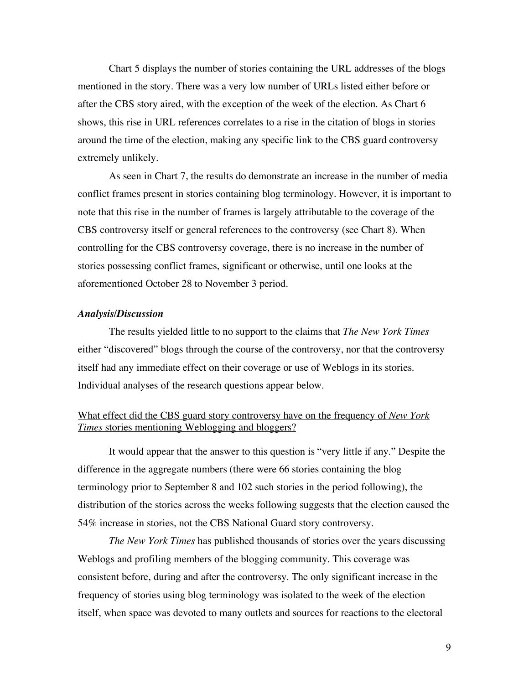Chart 5 displays the number of stories containing the URL addresses of the blogs mentioned in the story. There was a very low number of URLs listed either before or after the CBS story aired, with the exception of the week of the election. As Chart 6 shows, this rise in URL references correlates to a rise in the citation of blogs in stories around the time of the election, making any specific link to the CBS guard controversy extremely unlikely.

As seen in Chart 7, the results do demonstrate an increase in the number of media conflict frames present in stories containing blog terminology. However, it is important to note that this rise in the number of frames is largely attributable to the coverage of the CBS controversy itself or general references to the controversy (see Chart 8). When controlling for the CBS controversy coverage, there is no increase in the number of stories possessing conflict frames, significant or otherwise, until one looks at the aforementioned October 28 to November 3 period.

#### *Analysis/Discussion*

The results yielded little to no support to the claims that *The New York Times* either "discovered" blogs through the course of the controversy, nor that the controversy itself had any immediate effect on their coverage or use of Weblogs in its stories. Individual analyses of the research questions appear below.

## What effect did the CBS guard story controversy have on the frequency of *New York Times* stories mentioning Weblogging and bloggers?

It would appear that the answer to this question is "very little if any." Despite the difference in the aggregate numbers (there were 66 stories containing the blog terminology prior to September 8 and 102 such stories in the period following), the distribution of the stories across the weeks following suggests that the election caused the 54% increase in stories, not the CBS National Guard story controversy.

*The New York Times* has published thousands of stories over the years discussing Weblogs and profiling members of the blogging community. This coverage was consistent before, during and after the controversy. The only significant increase in the frequency of stories using blog terminology was isolated to the week of the election itself, when space was devoted to many outlets and sources for reactions to the electoral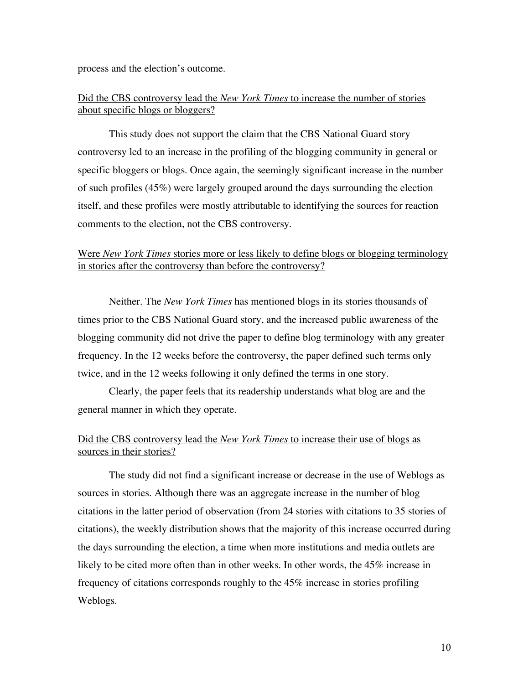process and the election's outcome.

## Did the CBS controversy lead the *New York Times* to increase the number of stories about specific blogs or bloggers?

This study does not support the claim that the CBS National Guard story controversy led to an increase in the profiling of the blogging community in general or specific bloggers or blogs. Once again, the seemingly significant increase in the number of such profiles (45%) were largely grouped around the days surrounding the election itself, and these profiles were mostly attributable to identifying the sources for reaction comments to the election, not the CBS controversy.

## Were *New York Times* stories more or less likely to define blogs or blogging terminology in stories after the controversy than before the controversy?

Neither. The *New York Times* has mentioned blogs in its stories thousands of times prior to the CBS National Guard story, and the increased public awareness of the blogging community did not drive the paper to define blog terminology with any greater frequency. In the 12 weeks before the controversy, the paper defined such terms only twice, and in the 12 weeks following it only defined the terms in one story.

Clearly, the paper feels that its readership understands what blog are and the general manner in which they operate.

## Did the CBS controversy lead the *New York Times* to increase their use of blogs as sources in their stories?

The study did not find a significant increase or decrease in the use of Weblogs as sources in stories. Although there was an aggregate increase in the number of blog citations in the latter period of observation (from 24 stories with citations to 35 stories of citations), the weekly distribution shows that the majority of this increase occurred during the days surrounding the election, a time when more institutions and media outlets are likely to be cited more often than in other weeks. In other words, the 45% increase in frequency of citations corresponds roughly to the 45% increase in stories profiling Weblogs.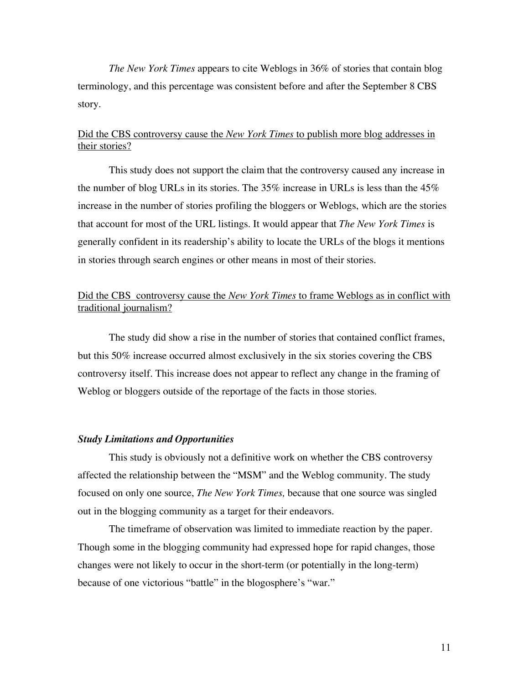*The New York Times* appears to cite Weblogs in 36% of stories that contain blog terminology, and this percentage was consistent before and after the September 8 CBS story.

## Did the CBS controversy cause the *New York Times* to publish more blog addresses in their stories?

This study does not support the claim that the controversy caused any increase in the number of blog URLs in its stories. The 35% increase in URLs is less than the 45% increase in the number of stories profiling the bloggers or Weblogs, which are the stories that account for most of the URL listings. It would appear that *The New York Times* is generally confident in its readership's ability to locate the URLs of the blogs it mentions in stories through search engines or other means in most of their stories.

## Did the CBS controversy cause the *New York Times* to frame Weblogs as in conflict with traditional journalism?

The study did show a rise in the number of stories that contained conflict frames, but this 50% increase occurred almost exclusively in the six stories covering the CBS controversy itself. This increase does not appear to reflect any change in the framing of Weblog or bloggers outside of the reportage of the facts in those stories.

#### *Study Limitations and Opportunities*

This study is obviously not a definitive work on whether the CBS controversy affected the relationship between the "MSM" and the Weblog community. The study focused on only one source, *The New York Times,* because that one source was singled out in the blogging community as a target for their endeavors.

The timeframe of observation was limited to immediate reaction by the paper. Though some in the blogging community had expressed hope for rapid changes, those changes were not likely to occur in the short-term (or potentially in the long-term) because of one victorious "battle" in the blogosphere's "war."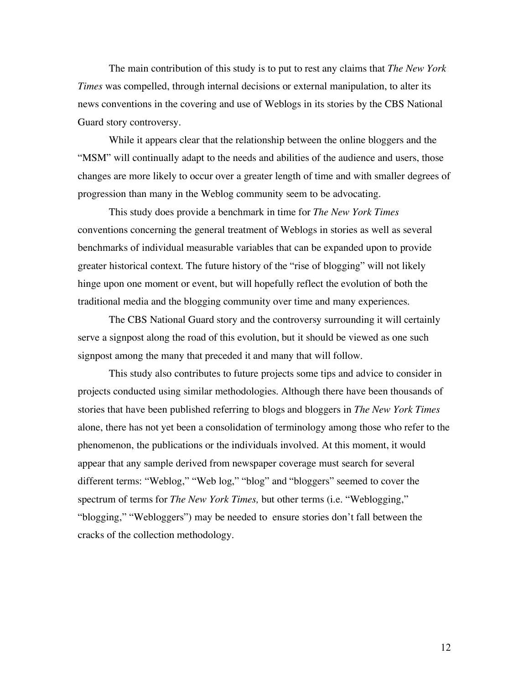The main contribution of this study is to put to rest any claims that *The New York Times* was compelled, through internal decisions or external manipulation, to alter its news conventions in the covering and use of Weblogs in its stories by the CBS National Guard story controversy.

While it appears clear that the relationship between the online bloggers and the "MSM" will continually adapt to the needs and abilities of the audience and users, those changes are more likely to occur over a greater length of time and with smaller degrees of progression than many in the Weblog community seem to be advocating.

This study does provide a benchmark in time for *The New York Times* conventions concerning the general treatment of Weblogs in stories as well as several benchmarks of individual measurable variables that can be expanded upon to provide greater historical context. The future history of the "rise of blogging" will not likely hinge upon one moment or event, but will hopefully reflect the evolution of both the traditional media and the blogging community over time and many experiences.

The CBS National Guard story and the controversy surrounding it will certainly serve a signpost along the road of this evolution, but it should be viewed as one such signpost among the many that preceded it and many that will follow.

This study also contributes to future projects some tips and advice to consider in projects conducted using similar methodologies. Although there have been thousands of stories that have been published referring to blogs and bloggers in *The New York Times* alone, there has not yet been a consolidation of terminology among those who refer to the phenomenon, the publications or the individuals involved. At this moment, it would appear that any sample derived from newspaper coverage must search for several different terms: "Weblog," "Web log," "blog" and "bloggers" seemed to cover the spectrum of terms for *The New York Times,* but other terms (i.e. "Weblogging," "blogging," "Webloggers") may be needed to ensure stories don't fall between the cracks of the collection methodology.

12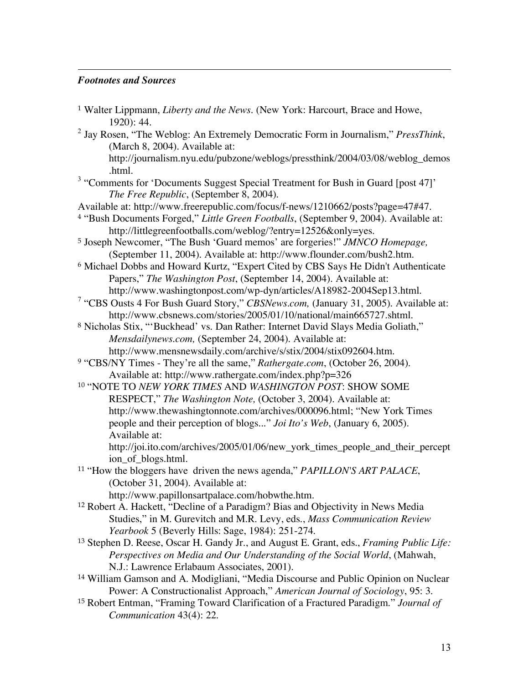## *Footnotes and Sources*

 $\overline{a}$ 

| <sup>1</sup> Walter Lippmann, Liberty and the News. (New York: Harcourt, Brace and Howe,<br>1920): 44.                                                                                                                                                                           |
|----------------------------------------------------------------------------------------------------------------------------------------------------------------------------------------------------------------------------------------------------------------------------------|
| <sup>2</sup> Jay Rosen, "The Weblog: An Extremely Democratic Form in Journalism," PressThink,<br>(March 8, 2004). Available at:                                                                                                                                                  |
| http://journalism.nyu.edu/pubzone/weblogs/pressthink/2004/03/08/weblog_demos<br>.html.                                                                                                                                                                                           |
| <sup>3</sup> "Comments for 'Documents Suggest Special Treatment for Bush in Guard [post 47]'<br>The Free Republic, (September 8, 2004).                                                                                                                                          |
| Available at: http://www.freerepublic.com/focus/f-news/1210662/posts?page=47#47.<br><sup>4</sup> "Bush Documents Forged," Little Green Footballs, (September 9, 2004). Available at:<br>http://littlegreenfootballs.com/weblog/?entry=12526&only=yes.                            |
| <sup>5</sup> Joseph Newcomer, "The Bush 'Guard memos' are forgeries!" JMNCO Homepage,<br>(September 11, 2004). Available at: http://www.flounder.com/bush2.htm.                                                                                                                  |
| <sup>6</sup> Michael Dobbs and Howard Kurtz, "Expert Cited by CBS Says He Didn't Authenticate<br>Papers," The Washington Post, (September 14, 2004). Available at:                                                                                                               |
| http://www.washingtonpost.com/wp-dyn/articles/A18982-2004Sep13.html.<br><sup>7</sup> "CBS Ousts 4 For Bush Guard Story," CBSNews.com, (January 31, 2005). Available at:<br>http://www.cbsnews.com/stories/2005/01/10/national/main665727.shtml.                                  |
| <sup>8</sup> Nicholas Stix, "'Buckhead' vs. Dan Rather: Internet David Slays Media Goliath,"<br>Mensdailynews.com, (September 24, 2004). Available at:                                                                                                                           |
| http://www.mensnewsdaily.com/archive/s/stix/2004/stix092604.htm.<br><sup>9</sup> "CBS/NY Times - They're all the same," Rathergate.com, (October 26, 2004).<br>Available at: http://www.rathergate.com/index.php?p=326                                                           |
| <sup>10</sup> "NOTE TO NEW YORK TIMES AND WASHINGTON POST: SHOW SOME                                                                                                                                                                                                             |
| RESPECT," The Washington Note, (October 3, 2004). Available at:<br>http://www.thewashingtonnote.com/archives/000096.html; "New York Times<br>people and their perception of blogs" <i>Joi Ito's Web</i> , (January 6, 2005).<br>Available at:                                    |
| http://joi.ito.com/archives/2005/01/06/new_york_times_people_and_their_percept<br>ion_of_blogs.html.                                                                                                                                                                             |
| <sup>11</sup> "How the bloggers have driven the news agenda," PAPILLON'S ART PALACE,<br>(October 31, 2004). Available at:<br>http://www.papillonsartpalace.com/hobwthe.htm.                                                                                                      |
| <sup>12</sup> Robert A. Hackett, "Decline of a Paradigm? Bias and Objectivity in News Media<br>Studies," in M. Gurevitch and M.R. Levy, eds., Mass Communication Review<br>Yearbook 5 (Beverly Hills: Sage, 1984): 251-274.                                                      |
| <sup>13</sup> Stephen D. Reese, Oscar H. Gandy Jr., and August E. Grant, eds., Framing Public Life:<br>Perspectives on Media and Our Understanding of the Social World, (Mahwah,<br>N.J.: Lawrence Erlabaum Associates, 2001).                                                   |
| <sup>14</sup> William Gamson and A. Modigliani, "Media Discourse and Public Opinion on Nuclear<br>Power: A Constructionalist Approach," American Journal of Sociology, 95: 3.<br><sup>15</sup> Robert Entman, "Framing Toward Clarification of a Fractured Paradigm." Journal of |
| Communication 43(4): 22.                                                                                                                                                                                                                                                         |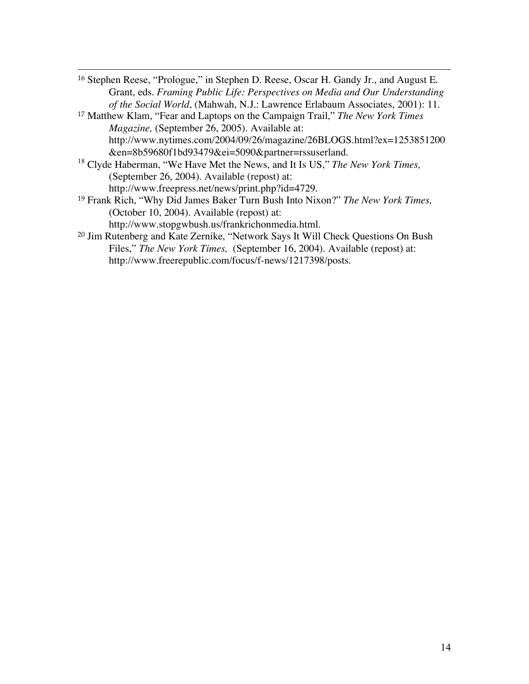<sup>16</sup> Stephen Reese, "Prologue," in Stephen D. Reese, Oscar H. Gandy Jr., and August E. Grant, eds. *Framing Public Life: Perspectives on Media and Our Understanding of the Social World*, (Mahwah, N.J.: Lawrence Erlabaum Associates, 2001): 11.

 $\overline{a}$ 

- <sup>17</sup> Matthew Klam, "Fear and Laptops on the Campaign Trail," *The New York Times Magazine,* (September 26, 2005). Available at: http://www.nytimes.com/2004/09/26/magazine/26BLOGS.html?ex=1253851200 &en=8b59680f1bd93479&ei=5090&partner=rssuserland.
- <sup>18</sup> Clyde Haberman, "We Have Met the News, and It Is US," *The New York Times,* (September 26, 2004). Available (repost) at: http://www.freepress.net/news/print.php?id=4729.
- <sup>19</sup> Frank Rich, "Why Did James Baker Turn Bush Into Nixon?" *The New York Times,* (October 10, 2004). Available (repost) at: http://www.stopgwbush.us/frankrichonmedia.html.
- <sup>20</sup> Jim Rutenberg and Kate Zernike, "Network Says It Will Check Questions On Bush Files," *The New York Times,* (September 16, 2004). Available (repost) at: http://www.freerepublic.com/focus/f-news/1217398/posts.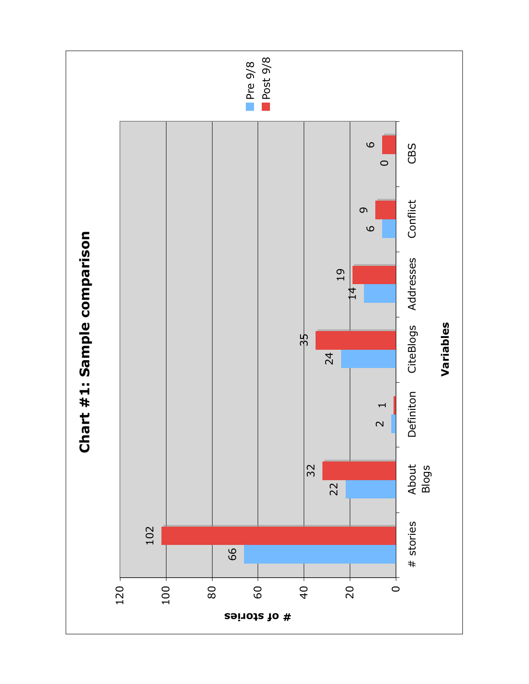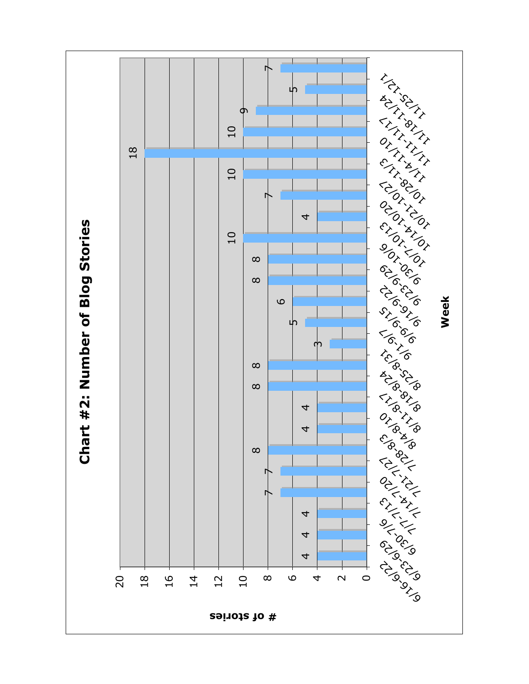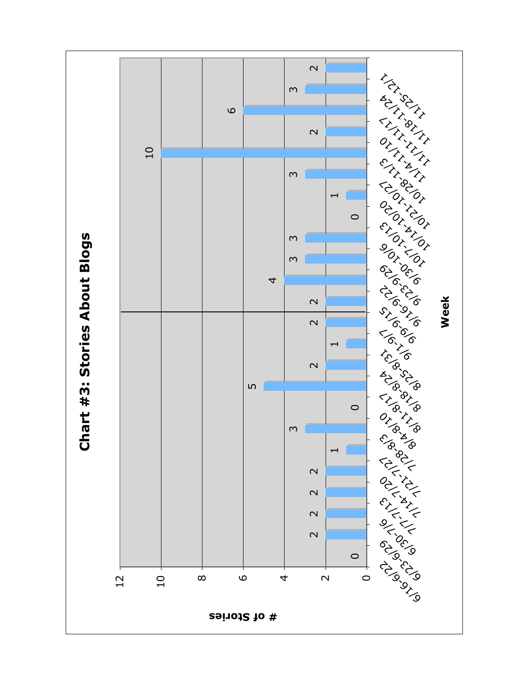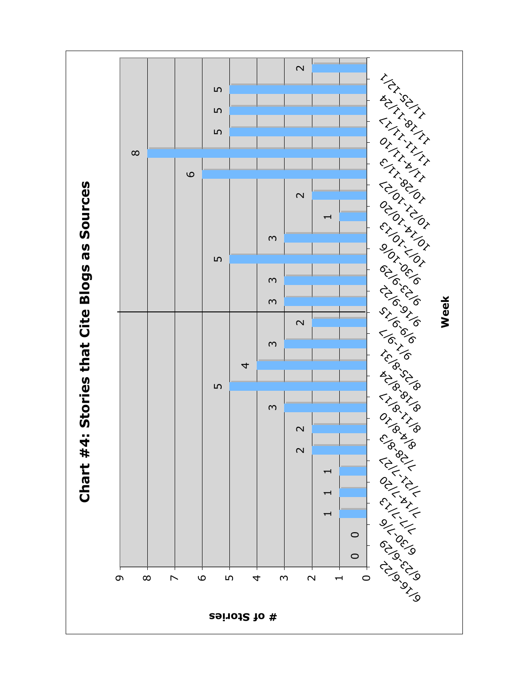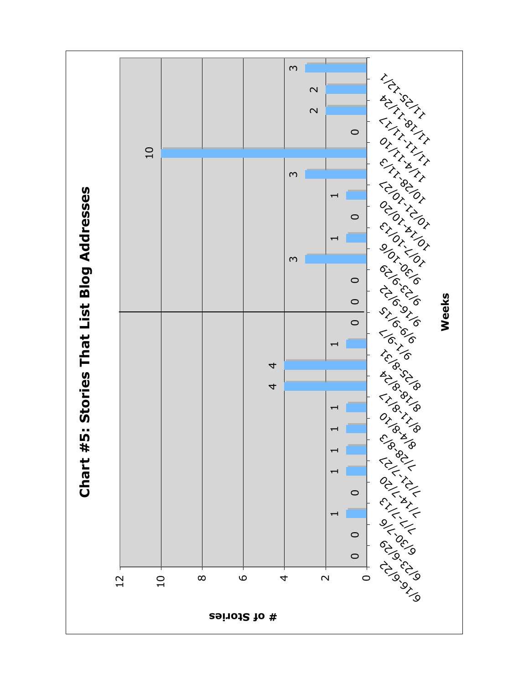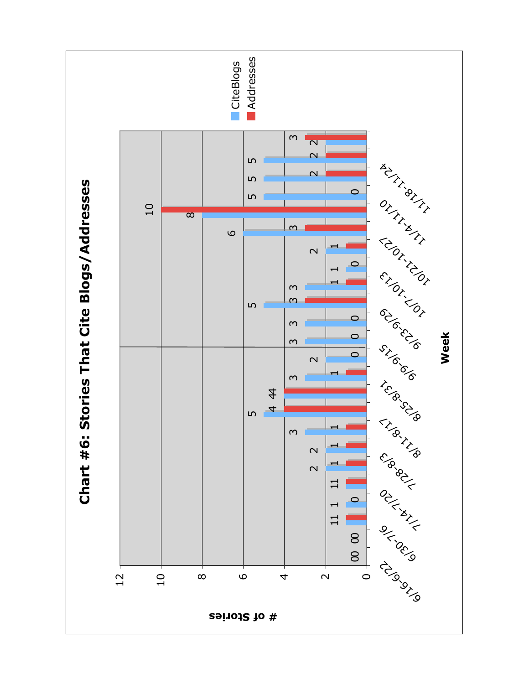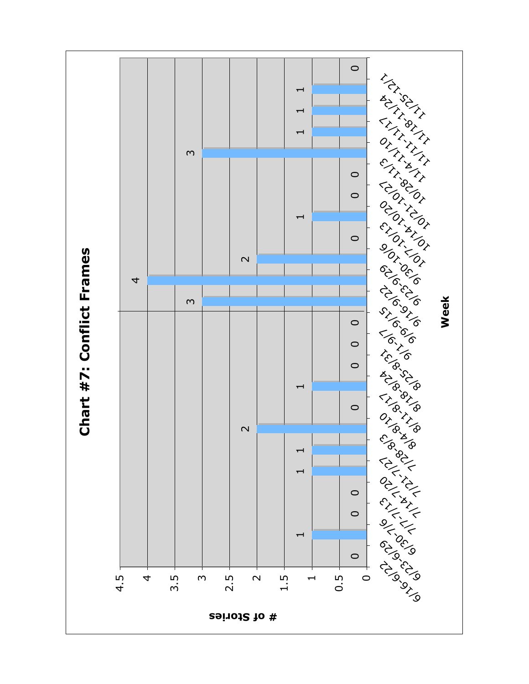